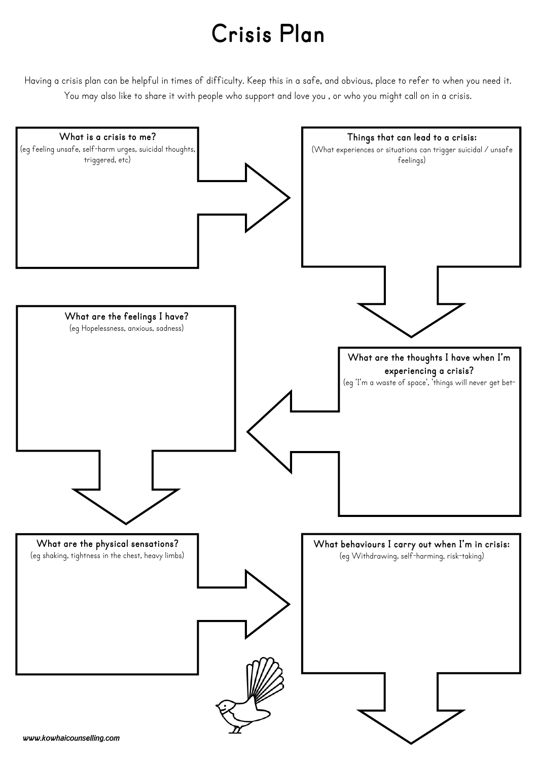## **Crisis Plan**

Having a crisis plan can be helpful in times of difficulty. Keep this in a safe, and obvious, place to refer to when you need it. You may also like to share it with people who support and love you , or who you might call on in a crisis.